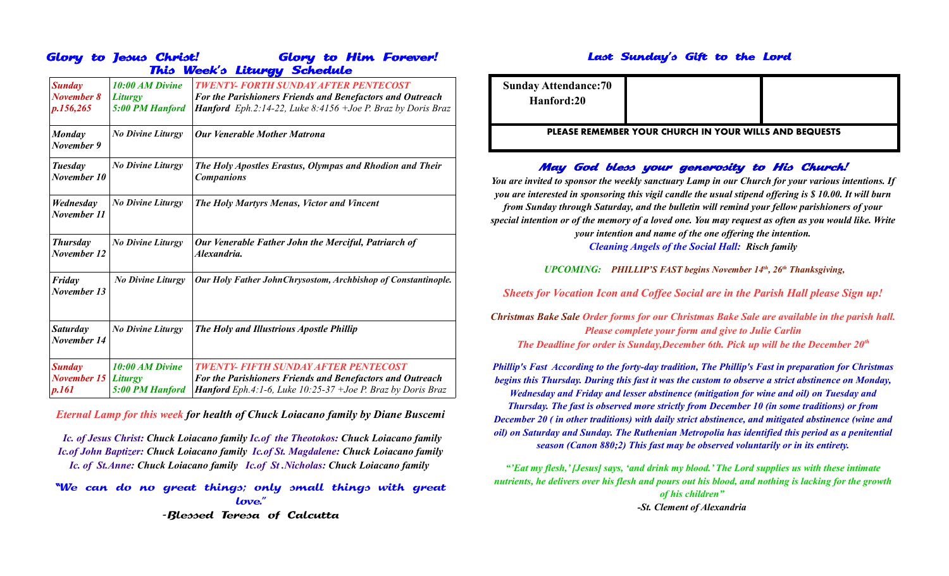|                                                      | Glory to Jesus Christ!                                      | <b>Glory to Him Forever!</b><br>This Week's Liturgy Schedule                                                                                                                   |  |
|------------------------------------------------------|-------------------------------------------------------------|--------------------------------------------------------------------------------------------------------------------------------------------------------------------------------|--|
| <b>Sunday</b><br>November 8<br>p.156,265             | <b>10:00 AM Divine</b><br><b>Liturgy</b><br>5:00 PM Hanford | <b>TWENTY- FORTH SUNDAY AFTER PENTECOST</b><br><b>For the Parishioners Friends and Benefactors and Outreach</b><br>Hanford Eph.2:14-22, Luke 8:4156 +Joe P. Braz by Doris Braz |  |
| <b>Monday</b><br>November 9                          | <b>No Divine Liturgy</b>                                    | <b>Our Venerable Mother Matrona</b>                                                                                                                                            |  |
| Tuesday<br>November 10                               | <b>No Divine Liturgy</b>                                    | The Holy Apostles Erastus, Olympas and Rhodion and Their<br><b>Companions</b>                                                                                                  |  |
| Wednesday<br>November 11                             | <b>No Divine Liturgy</b>                                    | The Holy Martyrs Menas, Victor and Vincent                                                                                                                                     |  |
| <b>Thursday</b><br>November 12                       | <b>No Divine Liturgy</b>                                    | Our Venerable Father John the Merciful, Patriarch of<br>Alexandria.                                                                                                            |  |
| Friday<br>November 13                                | <b>No Divine Liturgy</b>                                    | Our Holy Father John Chrysostom, Archbishop of Constantinople.                                                                                                                 |  |
| <b>Saturday</b><br>November 14                       | <b>No Divine Liturgy</b>                                    | The Holy and Illustrious Apostle Phillip                                                                                                                                       |  |
| <b>Sunday</b><br><b>November 15 Liturgy</b><br>p.161 | 10:00 AM Divine<br>5:00 PM Hanford                          | <b>TWENTY- FIFTH SUNDAY AFTER PENTECOST</b><br>For the Parishioners Friends and Benefactors and Outreach<br>Hanford Eph.4:1-6, Luke 10:25-37 +Joe P. Braz by Doris Braz        |  |

*Eternal Lamp for this week for health of Chuck Loiacano family by Diane Buscemi*

*Ic. of Jesus Christ: Chuck Loiacano family Ic.of the Theotokos: Chuck Loiacano family Ic.of John Baptizer: Chuck Loiacano family Ic.of St. Magdalene: Chuck Loiacano family Ic. of St.Anne: Chuck Loiacano family Ic.of St .Nicholas: Chuck Loiacano family* 

"We can do no great things; only small things with great love.'

-Blessed Teresa of Calcutta

## Last Sunday's Gift to the Lord

| <b>Sunday Attendance: 70</b><br>Hanford:20                    |  |  |  |  |
|---------------------------------------------------------------|--|--|--|--|
| <b>PLEASE REMEMBER YOUR CHURCH IN YOUR WILLS AND BEQUESTS</b> |  |  |  |  |

## May God bless your generosity to His Church!

*You are invited to sponsor the weekly sanctuary Lamp in our Church for your various intentions. If you are interested in sponsoring this vigil candle the usual stipend offering is \$ 10.00. It will burn from Sunday through Saturday, and the bulletin will remind your fellow parishioners of your special intention or of the memory of a loved one. You may request as often as you would like. Write your intention and name of the one offering the intention. Cleaning Angels of the Social Hall: Risch family*

*UPCOMING: PHILLIP'S FAST begins November 14th, 26th Thanksgiving,* 

*Sheets for Vocation Icon and Coffee Social are in the Parish Hall please Sign up!*

*Christmas Bake Sale Order forms for our Christmas Bake Sale are available in the parish hall. Please complete your form and give to Julie Carlin The Deadline for order is Sunday,December 6th. Pick up will be the December 20th*

*Phillip's Fast According to the forty-day tradition, The Phillip's Fast in preparation for Christmas begins this Thursday. During this fast it was the custom to observe a strict abstinence on Monday, Wednesday and Friday and lesser abstinence (mitigation for wine and oil) on Tuesday and Thursday. The fast is observed more strictly from December 10 (in some traditions) or from December 20 ( in other traditions) with daily strict abstinence, and mitigated abstinence (wine and oil) on Saturday and Sunday. The Ruthenian Metropolia has identified this period as a penitential season (Canon 880;2) This fast may be observed voluntarily or in its entirety.*

*"'Eat my flesh,' [Jesus] says, 'and drink my blood.' The Lord supplies us with these intimate nutrients, he delivers over his flesh and pours out his blood, and nothing is lacking for the growth of his children" -St. Clement of Alexandria*